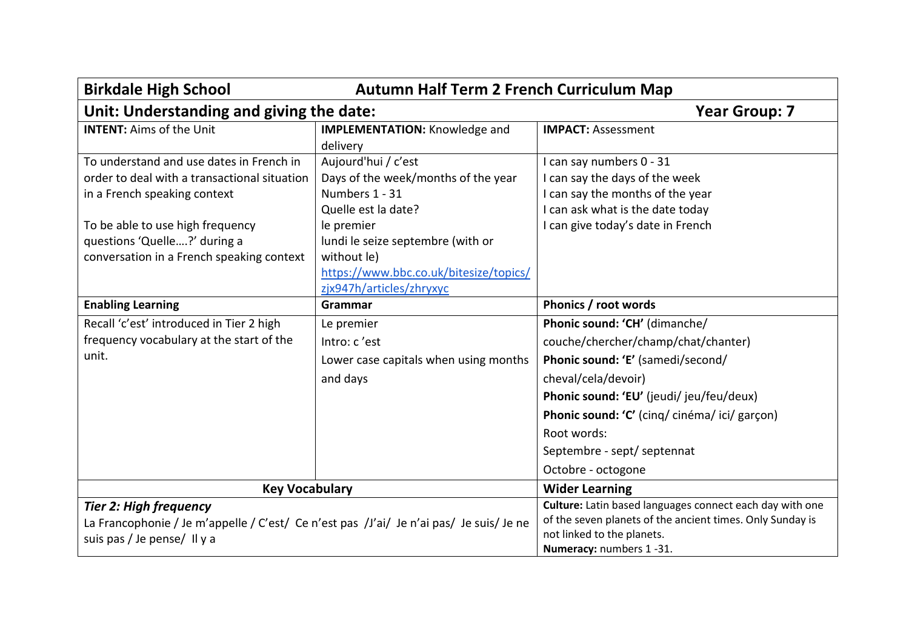| <b>Autumn Half Term 2 French Curriculum Map</b><br><b>Birkdale High School</b>                                         |                                        |                                                           |  |  |
|------------------------------------------------------------------------------------------------------------------------|----------------------------------------|-----------------------------------------------------------|--|--|
| Unit: Understanding and giving the date:                                                                               | <b>Year Group: 7</b>                   |                                                           |  |  |
| <b>INTENT: Aims of the Unit</b>                                                                                        | <b>IMPLEMENTATION: Knowledge and</b>   | <b>IMPACT: Assessment</b>                                 |  |  |
|                                                                                                                        | delivery                               |                                                           |  |  |
| To understand and use dates in French in                                                                               | Aujourd'hui / c'est                    | I can say numbers 0 - 31                                  |  |  |
| order to deal with a transactional situation                                                                           | Days of the week/months of the year    | I can say the days of the week                            |  |  |
| in a French speaking context                                                                                           | Numbers 1 - 31                         | I can say the months of the year                          |  |  |
|                                                                                                                        | Quelle est la date?                    | I can ask what is the date today                          |  |  |
| To be able to use high frequency                                                                                       | le premier                             | I can give today's date in French                         |  |  |
| questions 'Quelle?' during a                                                                                           | lundi le seize septembre (with or      |                                                           |  |  |
| conversation in a French speaking context                                                                              | without le)                            |                                                           |  |  |
|                                                                                                                        | https://www.bbc.co.uk/bitesize/topics/ |                                                           |  |  |
|                                                                                                                        | zjx947h/articles/zhryxyc               |                                                           |  |  |
| <b>Enabling Learning</b>                                                                                               | Grammar                                | Phonics / root words                                      |  |  |
| Recall 'c'est' introduced in Tier 2 high                                                                               | Le premier                             | Phonic sound: 'CH' (dimanche/                             |  |  |
| frequency vocabulary at the start of the                                                                               | Intro: c'est                           | couche/chercher/champ/chat/chanter)                       |  |  |
| unit.                                                                                                                  | Lower case capitals when using months  | Phonic sound: 'E' (samedi/second/                         |  |  |
|                                                                                                                        | and days                               | cheval/cela/devoir)                                       |  |  |
|                                                                                                                        |                                        | Phonic sound: 'EU' (jeudi/jeu/feu/deux)                   |  |  |
|                                                                                                                        |                                        | Phonic sound: 'C' (cinq/ cinéma/ ici/ garçon)             |  |  |
|                                                                                                                        |                                        | Root words:                                               |  |  |
|                                                                                                                        |                                        | Septembre - sept/ septennat                               |  |  |
|                                                                                                                        |                                        | Octobre - octogone                                        |  |  |
| <b>Key Vocabulary</b>                                                                                                  |                                        | <b>Wider Learning</b>                                     |  |  |
| <b>Tier 2: High frequency</b>                                                                                          |                                        | Culture: Latin based languages connect each day with one  |  |  |
| La Francophonie / Je m'appelle / C'est/ Ce n'est pas /J'ai/ Je n'ai pas/ Je suis/ Je ne<br>suis pas / Je pense/ Il y a |                                        | of the seven planets of the ancient times. Only Sunday is |  |  |
|                                                                                                                        |                                        | not linked to the planets.                                |  |  |
|                                                                                                                        |                                        | Numeracy: numbers 1-31.                                   |  |  |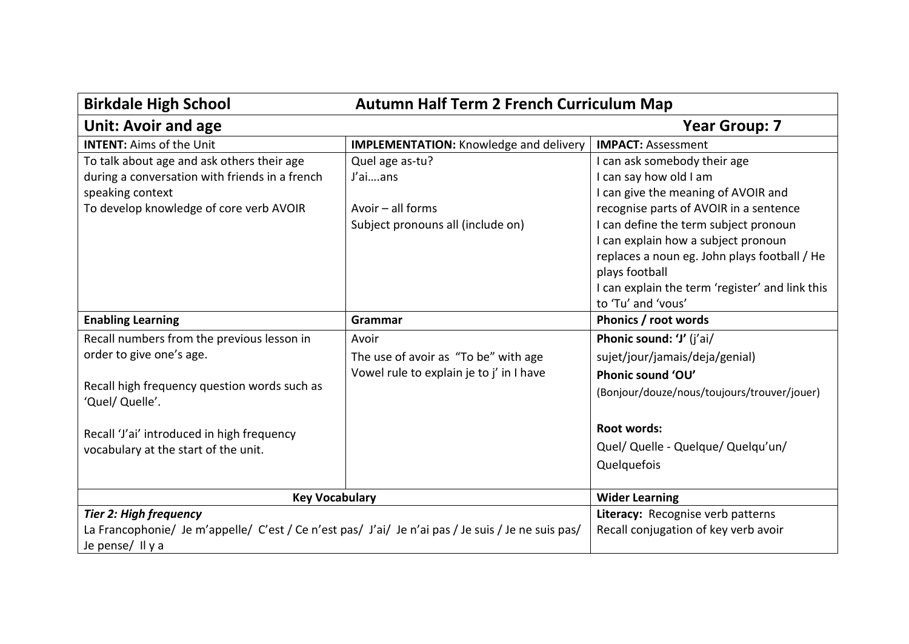| <b>Autumn Half Term 2 French Curriculum Map</b><br><b>Birkdale High School</b>                     |                                               |                                                 |
|----------------------------------------------------------------------------------------------------|-----------------------------------------------|-------------------------------------------------|
| <b>Unit: Avoir and age</b>                                                                         | <b>Year Group: 7</b>                          |                                                 |
| <b>INTENT: Aims of the Unit</b>                                                                    | <b>IMPLEMENTATION:</b> Knowledge and delivery | <b>IMPACT: Assessment</b>                       |
| To talk about age and ask others their age                                                         | Quel age as-tu?                               | I can ask somebody their age                    |
| during a conversation with friends in a french                                                     | J'aians                                       | I can say how old I am                          |
| speaking context                                                                                   |                                               | I can give the meaning of AVOIR and             |
| To develop knowledge of core verb AVOIR                                                            | Avoir $-$ all forms                           | recognise parts of AVOIR in a sentence          |
|                                                                                                    | Subject pronouns all (include on)             | I can define the term subject pronoun           |
|                                                                                                    |                                               | I can explain how a subject pronoun             |
|                                                                                                    |                                               | replaces a noun eg. John plays football / He    |
|                                                                                                    |                                               | plays football                                  |
|                                                                                                    |                                               | I can explain the term 'register' and link this |
|                                                                                                    |                                               | to 'Tu' and 'vous'                              |
| <b>Enabling Learning</b>                                                                           | Grammar                                       | Phonics / root words                            |
| Recall numbers from the previous lesson in                                                         | Avoir                                         | Phonic sound: 'J' (j'ai/                        |
| order to give one's age.                                                                           | The use of avoir as "To be" with age          | sujet/jour/jamais/deja/genial)                  |
|                                                                                                    | Vowel rule to explain je to j' in I have      | Phonic sound 'OU'                               |
| Recall high frequency question words such as                                                       |                                               | (Bonjour/douze/nous/toujours/trouver/jouer)     |
| 'Quel/ Quelle'.                                                                                    |                                               |                                                 |
| Recall 'J'ai' introduced in high frequency                                                         |                                               | <b>Root words:</b>                              |
| vocabulary at the start of the unit.                                                               |                                               | Quel/ Quelle - Quelque/ Quelqu'un/              |
|                                                                                                    |                                               | Quelquefois                                     |
|                                                                                                    |                                               |                                                 |
| <b>Key Vocabulary</b>                                                                              |                                               | <b>Wider Learning</b>                           |
| <b>Tier 2: High frequency</b>                                                                      |                                               | Literacy: Recognise verb patterns               |
| La Francophonie/ Je m'appelle/ C'est / Ce n'est pas/ J'ai/ Je n'ai pas / Je suis / Je ne suis pas/ |                                               | Recall conjugation of key verb avoir            |
| Je pense/ Il y a                                                                                   |                                               |                                                 |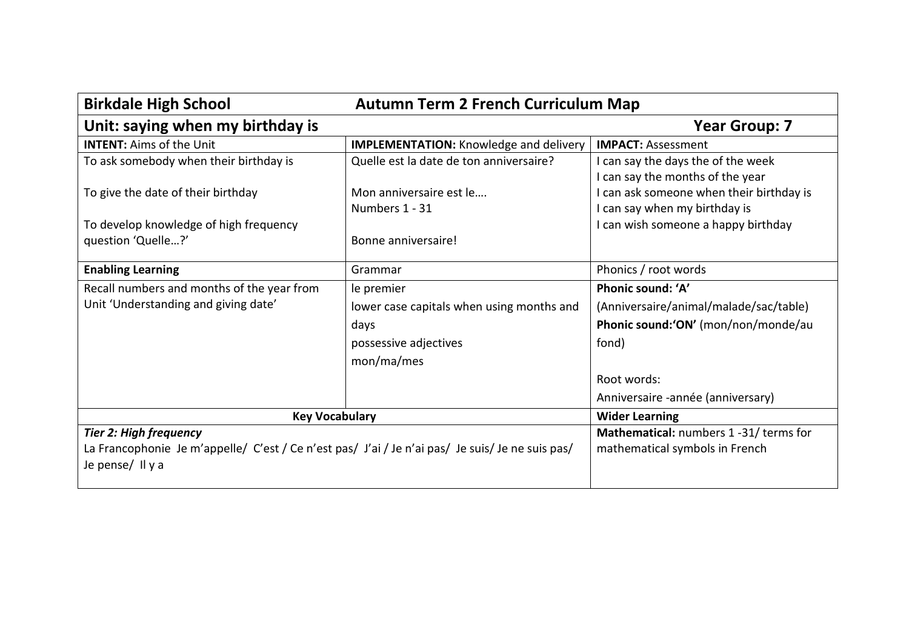| <b>Birkdale High School</b><br><b>Autumn Term 2 French Curriculum Map</b>                        |                                               |                                                                        |
|--------------------------------------------------------------------------------------------------|-----------------------------------------------|------------------------------------------------------------------------|
| Unit: saying when my birthday is                                                                 |                                               | <b>Year Group: 7</b>                                                   |
| <b>INTENT:</b> Aims of the Unit                                                                  | <b>IMPLEMENTATION:</b> Knowledge and delivery | <b>IMPACT: Assessment</b>                                              |
| To ask somebody when their birthday is                                                           | Quelle est la date de ton anniversaire?       | I can say the days the of the week<br>I can say the months of the year |
| To give the date of their birthday                                                               | Mon anniversaire est le                       | can ask someone when their birthday is                                 |
|                                                                                                  | Numbers 1 - 31                                | can say when my birthday is                                            |
| To develop knowledge of high frequency                                                           |                                               | I can wish someone a happy birthday                                    |
| question 'Quelle?'                                                                               | Bonne anniversaire!                           |                                                                        |
| <b>Enabling Learning</b>                                                                         | Grammar                                       | Phonics / root words                                                   |
| Recall numbers and months of the year from                                                       | le premier                                    | Phonic sound: 'A'                                                      |
| Unit 'Understanding and giving date'                                                             | lower case capitals when using months and     | (Anniversaire/animal/malade/sac/table)                                 |
|                                                                                                  | days                                          | Phonic sound:'ON' (mon/non/monde/au                                    |
|                                                                                                  | possessive adjectives                         | fond)                                                                  |
|                                                                                                  | mon/ma/mes                                    |                                                                        |
|                                                                                                  |                                               | Root words:                                                            |
|                                                                                                  |                                               | Anniversaire -année (anniversary)                                      |
| <b>Key Vocabulary</b>                                                                            |                                               | <b>Wider Learning</b>                                                  |
| <b>Tier 2: High frequency</b>                                                                    |                                               | Mathematical: numbers 1 -31/ terms for                                 |
| La Francophonie Je m'appelle/ C'est / Ce n'est pas/ J'ai / Je n'ai pas/ Je suis/ Je ne suis pas/ |                                               | mathematical symbols in French                                         |
| Je pense/Il y a                                                                                  |                                               |                                                                        |
|                                                                                                  |                                               |                                                                        |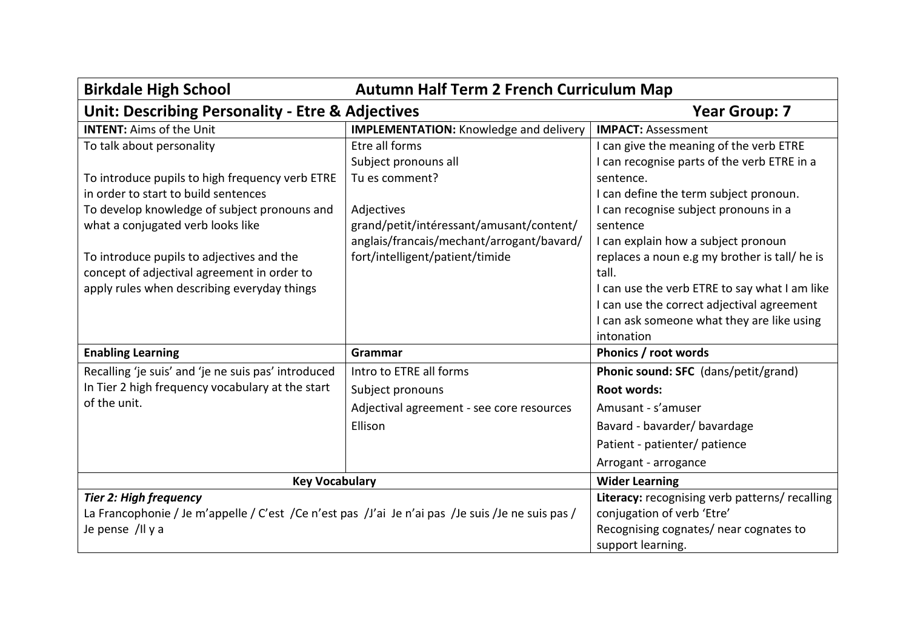| <b>Birkdale High School</b><br><b>Autumn Half Term 2 French Curriculum Map</b>                        |                                               |                                                |
|-------------------------------------------------------------------------------------------------------|-----------------------------------------------|------------------------------------------------|
| <b>Unit: Describing Personality - Etre &amp; Adjectives</b><br><b>Year Group: 7</b>                   |                                               |                                                |
| <b>INTENT:</b> Aims of the Unit                                                                       | <b>IMPLEMENTATION:</b> Knowledge and delivery | <b>IMPACT: Assessment</b>                      |
| To talk about personality                                                                             | Etre all forms                                | I can give the meaning of the verb ETRE        |
|                                                                                                       | Subject pronouns all                          | I can recognise parts of the verb ETRE in a    |
| To introduce pupils to high frequency verb ETRE                                                       | Tu es comment?                                | sentence.                                      |
| in order to start to build sentences                                                                  |                                               | I can define the term subject pronoun.         |
| To develop knowledge of subject pronouns and                                                          | Adjectives                                    | I can recognise subject pronouns in a          |
| what a conjugated verb looks like                                                                     | grand/petit/intéressant/amusant/content/      | sentence                                       |
|                                                                                                       | anglais/francais/mechant/arrogant/bavard/     | I can explain how a subject pronoun            |
| To introduce pupils to adjectives and the                                                             | fort/intelligent/patient/timide               | replaces a noun e.g my brother is tall/ he is  |
| concept of adjectival agreement in order to                                                           |                                               | tall.                                          |
| apply rules when describing everyday things                                                           |                                               | I can use the verb ETRE to say what I am like  |
|                                                                                                       |                                               | I can use the correct adjectival agreement     |
|                                                                                                       |                                               | I can ask someone what they are like using     |
|                                                                                                       |                                               | intonation                                     |
| <b>Enabling Learning</b>                                                                              | Grammar                                       | Phonics / root words                           |
| Recalling 'je suis' and 'je ne suis pas' introduced                                                   | Intro to ETRE all forms                       | Phonic sound: SFC (dans/petit/grand)           |
| In Tier 2 high frequency vocabulary at the start                                                      | Subject pronouns                              | <b>Root words:</b>                             |
| of the unit.                                                                                          | Adjectival agreement - see core resources     | Amusant - s'amuser                             |
|                                                                                                       | Ellison                                       | Bavard - bavarder/bavardage                    |
|                                                                                                       |                                               | Patient - patienter/ patience                  |
|                                                                                                       |                                               | Arrogant - arrogance                           |
| <b>Key Vocabulary</b>                                                                                 |                                               | <b>Wider Learning</b>                          |
| <b>Tier 2: High frequency</b>                                                                         |                                               | Literacy: recognising verb patterns/ recalling |
| La Francophonie / Je m'appelle / C'est / Ce n'est pas / J'ai Je n'ai pas / Je suis / Je ne suis pas / |                                               | conjugation of verb 'Etre'                     |
| Je pense /Il y a                                                                                      |                                               | Recognising cognates/ near cognates to         |
|                                                                                                       |                                               | support learning.                              |